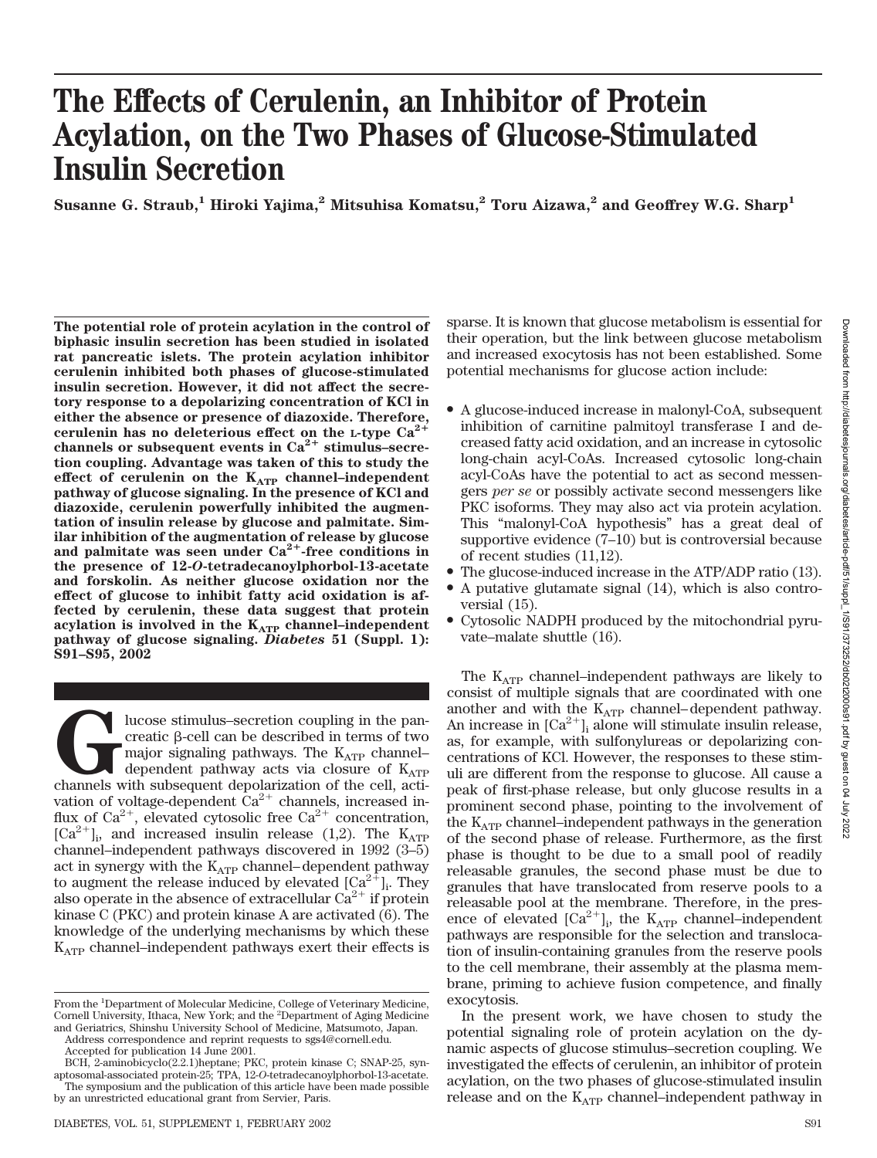# **The Effects of Cerulenin, an Inhibitor of Protein Acylation, on the Two Phases of Glucose-Stimulated Insulin Secretion**

Susanne G. Straub,<sup>1</sup> Hiroki Yajima,<sup>2</sup> Mitsuhisa Komatsu,<sup>2</sup> Toru Aizawa,<sup>2</sup> and Geoffrey W.G. Sharp<sup>1</sup>

**The potential role of protein acylation in the control of biphasic insulin secretion has been studied in isolated rat pancreatic islets. The protein acylation inhibitor cerulenin inhibited both phases of glucose-stimulated insulin secretion. However, it did not affect the secretory response to a depolarizing concentration of KCl in either the absence or presence of diazoxide. Therefore, cerulenin has no deleterious effect on the L-type Ca2** channels or subsequent events in  $Ca^{2+}$  stimulus–secre**tion coupling. Advantage was taken of this to study the** effect of cerulenin on the K<sub>ATP</sub> channel-independent **pathway of glucose signaling. In the presence of KCl and diazoxide, cerulenin powerfully inhibited the augmentation of insulin release by glucose and palmitate. Similar inhibition of the augmentation of release by glucose** and palmitate was seen under  $Ca^{2+}$ -free conditions in **the presence of 12-***O***-tetradecanoylphorbol-13-acetate and forskolin. As neither glucose oxidation nor the effect of glucose to inhibit fatty acid oxidation is affected by cerulenin, these data suggest that protein acylation is involved in the KATP channel–independent pathway of glucose signaling.** *Diabetes* **51 (Suppl. 1): S91–S95, 2002**

**G**lucose stimulus–secretion coupling in the pan-<br>creatic β-cell can be described in terms of two<br>major signaling pathways. The  $K_{ATP}$  channel-<br>dependent pathway acts via closure of  $K_{ATP}$ <br>channels with subsequent depo creatic  $\beta$ -cell can be described in terms of two major signaling pathways. The K<sub>ATP</sub> channel– dependent pathway acts via closure of  $K_{ATP}$ vation of voltage-dependent  $Ca^{2+}$  channels, increased influx of Ca<sup>2+</sup>, elevated cytosolic free Ca<sup>2+</sup> concentration,  $[Ca^{2+}]_i$ , and increased insulin release (1,2). The K<sub>ATP</sub> channel–independent pathways discovered in 1992 (3–5) act in synergy with the  $K_{ATP}$  channel–dependent pathway to augment the release induced by elevated  $\left[Ca^{2+}\right]$ . They also operate in the absence of extracellular  $Ca^{2+}$  if protein kinase C (PKC) and protein kinase A are activated (6). The knowledge of the underlying mechanisms by which these  $K_{ATP}$  channel–independent pathways exert their effects is sparse. It is known that glucose metabolism is essential for their operation, but the link between glucose metabolism and increased exocytosis has not been established. Some potential mechanisms for glucose action include:

- A glucose-induced increase in malonyl-CoA, subsequent inhibition of carnitine palmitoyl transferase I and decreased fatty acid oxidation, and an increase in cytosolic long-chain acyl-CoAs. Increased cytosolic long-chain acyl-CoAs have the potential to act as second messengers *per se* or possibly activate second messengers like PKC isoforms. They may also act via protein acylation. This "malonyl-CoA hypothesis" has a great deal of supportive evidence (7–10) but is controversial because of recent studies (11,12).
- The glucose-induced increase in the ATP/ADP ratio (13).
- A putative glutamate signal (14), which is also controversial (15).
- Cytosolic NADPH produced by the mitochondrial pyruvate–malate shuttle (16).

The  $K_{ATP}$  channel–independent pathways are likely to consist of multiple signals that are coordinated with one another and with the  $K_{ATP}$  channel–dependent pathway. An increase in  $\lbrack Ca^{2+}\rbrack _i$  alone will stimulate insulin release, as, for example, with sulfonylureas or depolarizing concentrations of KCl. However, the responses to these stimuli are different from the response to glucose. All cause a peak of first-phase release, but only glucose results in a prominent second phase, pointing to the involvement of the  $K_{ATP}$  channel–independent pathways in the generation of the second phase of release. Furthermore, as the first phase is thought to be due to a small pool of readily releasable granules, the second phase must be due to granules that have translocated from reserve pools to a releasable pool at the membrane. Therefore, in the presence of elevated  $\left[\text{Ca}^{2+}\right]_i$ , the K<sub>ATP</sub> channel–independent pathways are responsible for the selection and translocation of insulin-containing granules from the reserve pools to the cell membrane, their assembly at the plasma membrane, priming to achieve fusion competence, and finally exocytosis.

In the present work, we have chosen to study the potential signaling role of protein acylation on the dynamic aspects of glucose stimulus–secretion coupling. We investigated the effects of cerulenin, an inhibitor of protein acylation, on the two phases of glucose-stimulated insulin release and on the  $K_{ATP}$  channel–independent pathway in

From the <sup>1</sup>Department of Molecular Medicine, College of Veterinary Medicine, Cornell University, Ithaca, New York; and the <sup>2</sup>Department of Aging Medicine and Geriatrics, Shinshu University School of Medicine, Matsumoto, Japan.

Address correspondence and reprint requests to sgs4@cornell.edu.

Accepted for publication 14 June 2001.

BCH, 2-aminobicyclo(2.2.1)heptane; PKC, protein kinase C; SNAP-25, synaptosomal-associated protein-25; TPA, 12-*O*-tetradecanoylphorbol-13-acetate. The symposium and the publication of this article have been made possible by an unrestricted educational grant from Servier, Paris.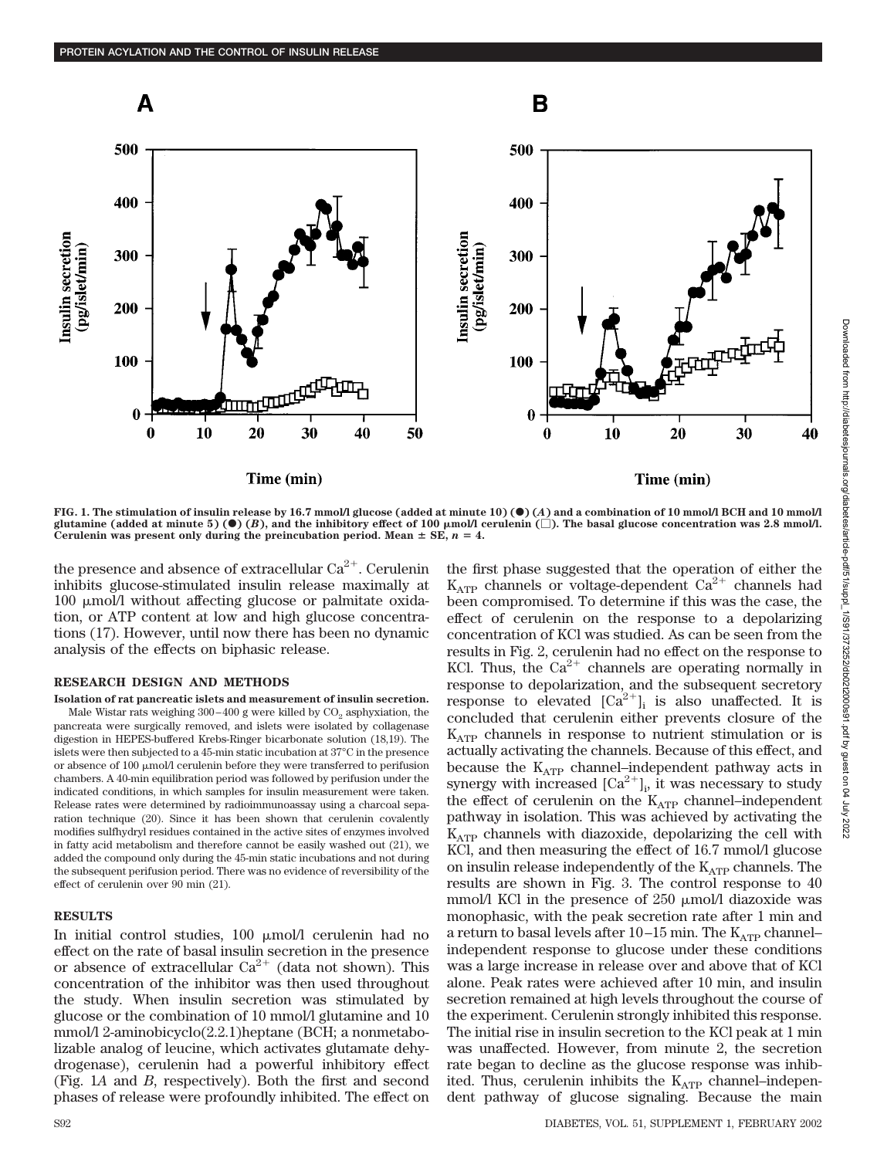

**FIG. 1. The stimulation of insulin release by 16.7 mmol/l glucose (added at minute 10) (**F**) (***A***) and a combination of 10 mmol/l BCH and 10 mmol/l** glutamine (added at minute 5) ( $\bullet$ ) (*B*), and the inhibitory effect of 100  $\mu$ mol/l cerulenin ( $\Box$ ). The basal glucose concentration was 2.8 mmol/l. Cerulenin was present only during the preincubation period. Mean  $\pm$  SE,  $n = 4$ .

the presence and absence of extracellular Ca $^{2+}$ . Cerulenin inhibits glucose-stimulated insulin release maximally at  $100 \mu$  mol/l without affecting glucose or palmitate oxidation, or ATP content at low and high glucose concentrations (17). However, until now there has been no dynamic analysis of the effects on biphasic release.

## **RESEARCH DESIGN AND METHODS**

**Isolation of rat pancreatic islets and measurement of insulin secretion.** Male Wistar rats weighing  $300-400$  g were killed by  $CO<sub>2</sub>$  asphyxiation, the pancreata were surgically removed, and islets were isolated by collagenase digestion in HEPES-buffered Krebs-Ringer bicarbonate solution (18,19). The islets were then subjected to a 45-min static incubation at 37°C in the presence or absence of  $100 \mu \text{mol}/l$  cerulenin before they were transferred to perifusion chambers. A 40-min equilibration period was followed by perifusion under the indicated conditions, in which samples for insulin measurement were taken. Release rates were determined by radioimmunoassay using a charcoal separation technique (20). Since it has been shown that cerulenin covalently modifies sulfhydryl residues contained in the active sites of enzymes involved in fatty acid metabolism and therefore cannot be easily washed out (21), we added the compound only during the 45-min static incubations and not during the subsequent perifusion period. There was no evidence of reversibility of the effect of cerulenin over 90 min (21).

## **RESULTS**

In initial control studies,  $100 \mu \text{mol/m}$  cerulenin had no effect on the rate of basal insulin secretion in the presence or absence of extracellular  $Ca^{2+}$  (data not shown). This concentration of the inhibitor was then used throughout the study. When insulin secretion was stimulated by glucose or the combination of 10 mmol/l glutamine and 10 mmol/l 2-aminobicyclo(2.2.1)heptane (BCH; a nonmetabolizable analog of leucine, which activates glutamate dehydrogenase), cerulenin had a powerful inhibitory effect (Fig. 1*A* and *B*, respectively). Both the first and second phases of release were profoundly inhibited. The effect on the first phase suggested that the operation of either the  $K_{ATP}$  channels or voltage-dependent  $Ca^{2+}$  channels had been compromised. To determine if this was the case, the effect of cerulenin on the response to a depolarizing concentration of KCl was studied. As can be seen from the results in Fig. 2, cerulenin had no effect on the response to KCl. Thus, the  $Ca^{2+}$  channels are operating normally in response to depolarization, and the subsequent secretory response to elevated  $[Ca^{2+}]_i$  is also unaffected. It is concluded that cerulenin either prevents closure of the  $K_{ATP}$  channels in response to nutrient stimulation or is actually activating the channels. Because of this effect, and because the  $K_{ATP}$  channel–independent pathway acts in synergy with increased  $[Ca^{2+}]_i$ , it was necessary to study the effect of cerulenin on the  $K_{ATP}$  channel–independent pathway in isolation. This was achieved by activating the  $K_{ATP}$  channels with diazoxide, depolarizing the cell with KCl, and then measuring the effect of 16.7 mmol/l glucose on insulin release independently of the  $K_{ATP}$  channels. The results are shown in Fig. 3. The control response to 40 mmol/l KCl in the presence of  $250 \mu$  mol/l diazoxide was monophasic, with the peak secretion rate after 1 min and a return to basal levels after  $10-15$  min. The  $K_{ATP}$  channel– independent response to glucose under these conditions was a large increase in release over and above that of KCl alone. Peak rates were achieved after 10 min, and insulin secretion remained at high levels throughout the course of the experiment. Cerulenin strongly inhibited this response. The initial rise in insulin secretion to the KCl peak at 1 min was unaffected. However, from minute 2, the secretion rate began to decline as the glucose response was inhibited. Thus, cerulenin inhibits the  $K_{ATP}$  channel–independent pathway of glucose signaling. Because the main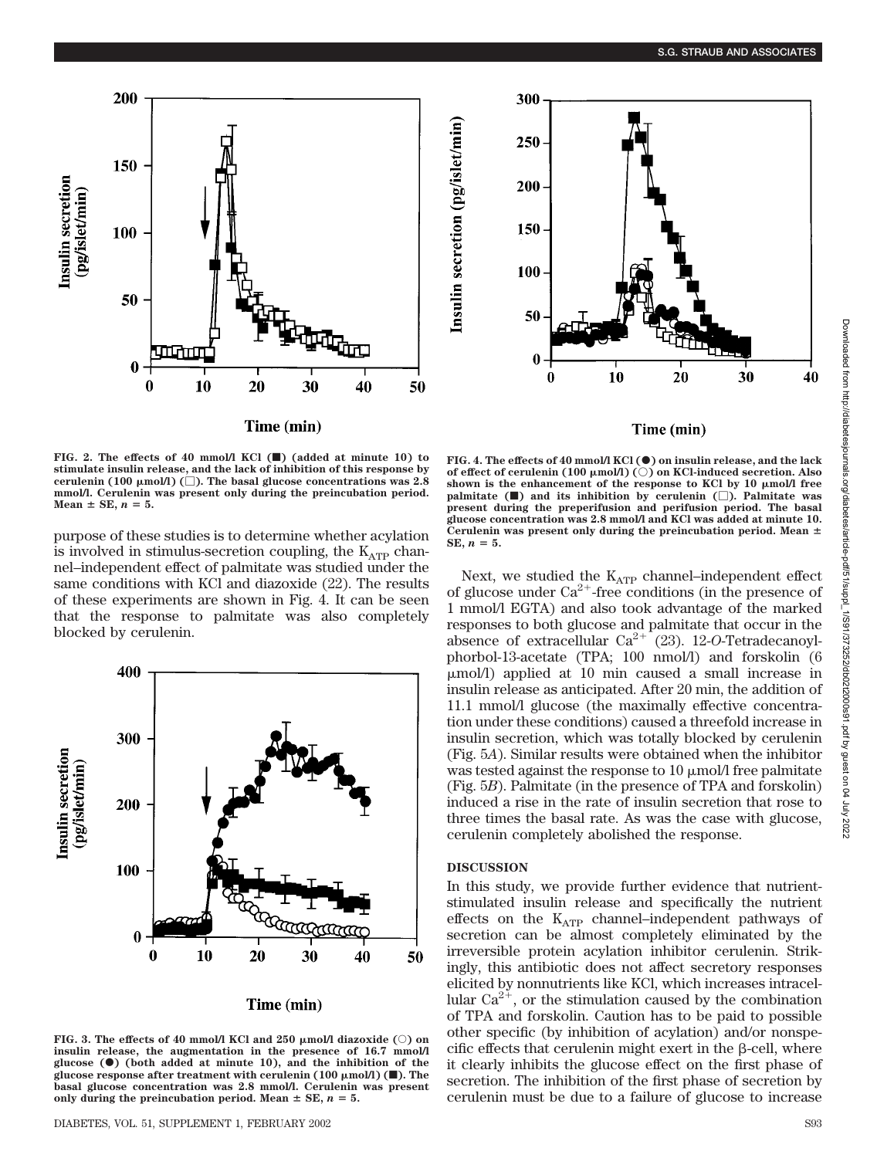



#### Time (min)

**FIG. 2. The effects of 40 mmol/l KCl (**f**) (added at minute 10) to stimulate insulin release, and the lack of inhibition of this response by** cerulenin (100  $\mu$ mol/l) ( $\Box$ ). The basal glucose concentrations was 2.8 **mmol/l. Cerulenin was present only during the preincubation period.**  $Mean \pm SE$ ,  $n = 5$ .

purpose of these studies is to determine whether acylation is involved in stimulus-secretion coupling, the  $K_{ATP}$  channel–independent effect of palmitate was studied under the same conditions with KCl and diazoxide (22). The results of these experiments are shown in Fig. 4. It can be seen that the response to palmitate was also completely blocked by cerulenin.



## Time (min)

FIG. 3. The effects of 40 mmol/l KCl and 250  $\mu$ mol/l diazoxide ( $\circ$ ) on **insulin release, the augmentation in the presence of 16.7 mmol/l glucose (**F**) (both added at minute 10), and the inhibition of the** glucose response after treatment with cerulenin  $(100 \mu \text{mol/l})$  ( $\blacksquare$ ). The **basal glucose concentration was 2.8 mmol/l. Cerulenin was present** only during the preincubation period. Mean  $\pm$  SE,  $n = 5$ .

**FIG. 4. The effects of 40 mmol/l KCl () on insulin release, and the lack of effect of cerulenin (100 μmol/l) (○) on KCl-induced secretion. Also** shown is the enhancement of the response to KCl by 10  $\mu$ mol/l free **palmitate (**f**) and its inhibition by cerulenin (**-**). Palmitate was present during the preperifusion and perifusion period. The basal glucose concentration was 2.8 mmol/l and KCl was added at minute 10. Cerulenin was present only during the preincubation period. Mean SE,**  $n = 5$ .

Next, we studied the  $K_{ATP}$  channel–independent effect of glucose under  $Ca^{2+}$ -free conditions (in the presence of 1 mmol/l EGTA) and also took advantage of the marked responses to both glucose and palmitate that occur in the absence of extracellular Ca<sup>2+</sup> (23). 12-O-Tetradecanoylphorbol-13-acetate (TPA; 100 nmol/l) and forskolin (6 mol/l) applied at 10 min caused a small increase in insulin release as anticipated. After 20 min, the addition of 11.1 mmol/l glucose (the maximally effective concentration under these conditions) caused a threefold increase in insulin secretion, which was totally blocked by cerulenin (Fig. 5*A*). Similar results were obtained when the inhibitor was tested against the response to 10  $\mu$ mol/l free palmitate (Fig. 5*B*). Palmitate (in the presence of TPA and forskolin) induced a rise in the rate of insulin secretion that rose to three times the basal rate. As was the case with glucose, cerulenin completely abolished the response.

## **DISCUSSION**

In this study, we provide further evidence that nutrientstimulated insulin release and specifically the nutrient effects on the  $K_{ATP}$  channel–independent pathways of secretion can be almost completely eliminated by the irreversible protein acylation inhibitor cerulenin. Strikingly, this antibiotic does not affect secretory responses elicited by nonnutrients like KCl, which increases intracellular  $Ca^{2+}$ , or the stimulation caused by the combination of TPA and forskolin. Caution has to be paid to possible other specific (by inhibition of acylation) and/or nonspecific effects that cerulenin might exert in the  $\beta$ -cell, where it clearly inhibits the glucose effect on the first phase of secretion. The inhibition of the first phase of secretion by cerulenin must be due to a failure of glucose to increase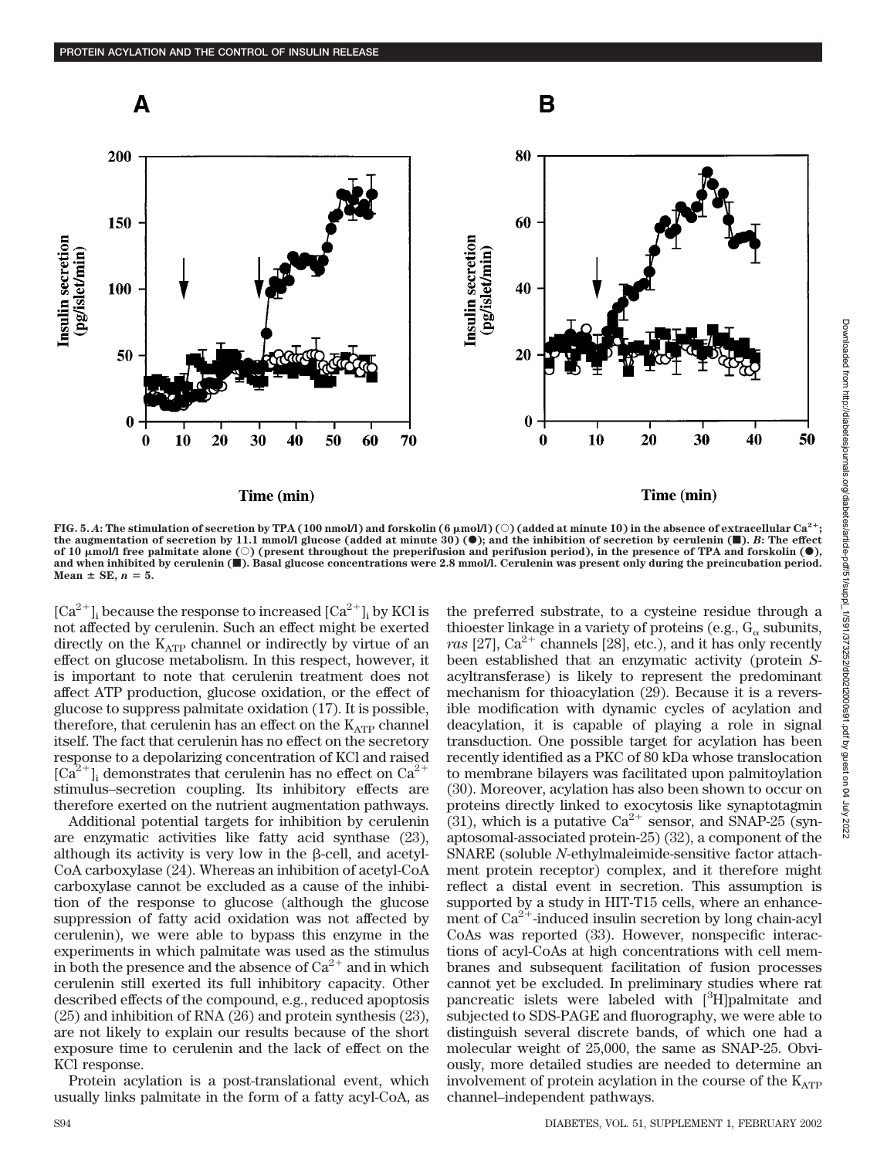

FIG. 5. *A*: The stimulation of secretion by TPA (100 nmol/l) and forskolin (6  $\mu$ mol/l) (○) (added at minute 10) in the absence of extracellular Ca<sup>2+</sup>; **the augmentation of secretion by 11.1 mmol/l glucose (added at minute 30) (**F**); and the inhibition of secretion by cerulenin (**f**).** *B***: The effect** of 10  $\mu$ mol/l free palmitate alone ( $\circ$ ) (present throughout the preperifusion and perifusion period), in the presence of TPA and forskolin ( $\bullet$ ), **and when inhibited by cerulenin (**f**). Basal glucose concentrations were 2.8 mmol/l. Cerulenin was present only during the preincubation period.**  $Mean \pm SE$ ,  $n = 5$ .

 $\lbrack Ca^{2+}\rbrack_i$  because the response to increased  $\lbrack Ca^{2+}\rbrack_i$  by KCl is not affected by cerulenin. Such an effect might be exerted directly on the  $K_{ATP}$  channel or indirectly by virtue of an effect on glucose metabolism. In this respect, however, it is important to note that cerulenin treatment does not affect ATP production, glucose oxidation, or the effect of glucose to suppress palmitate oxidation (17). It is possible, therefore, that cerulen n has an effect on the  $K_{ATP}$  channel itself. The fact that cerulenin has no effect on the secretory response to a depolarizing concentration of KCl and raised  $[Ca^{2+}$ ]<sub>i</sub> demonstrates that cerulenin has no effect on  $Ca^{2+}$ stimulus–secretion coupling. Its inhibitory effects are therefore exerted on the nutrient augmentation pathways.

Additional potential targets for inhibition by cerulenin are enzymatic activities like fatty acid synthase (23), although its activity is very low in the  $\beta$ -cell, and acetyl-CoA carboxylase (24). Whereas an inhibition of acetyl-CoA carboxylase cannot be excluded as a cause of the inhibition of the response to glucose (although the glucose suppression of fatty acid oxidation was not affected by cerulenin), we were able to bypass this enzyme in the experiments in which palmitate was used as the stimulus in both the presence and the absence of  $Ca^{2+}$  and in which cerulenin still exerted its full inhibitory capacity. Other described effects of the compound, e.g., reduced apoptosis (25) and inhibition of RNA (26) and protein synthesis (23), are not likely to explain our results because of the short exposure time to cerulenin and the lack of effect on the KCl response.

Protein acylation is a post-translational event, which usually links palmitate in the form of a fatty acyl-CoA, as the preferred substrate, to a cysteine residue through a thioester linkage in a variety of proteins (e.g.,  $G_{\alpha}$  subunits, ras [27],  $Ca^{2+}$  channels [28], etc.), and it has only recently been established that an enzymatic activity (protein *S*acyltransferase) is likely to represent the predominant mechanism for thioacylation (29). Because it is a reversible modification with dynamic cycles of acylation and deacylation, it is capable of playing a role in signal transduction. One possible target for acylation has been recently identified as a PKC of 80 kDa whose translocation to membrane bilayers was facilitated upon palmitoylation (30). Moreover, acylation has also been shown to occur on proteins directly linked to exocytosis like synaptotagmin (31), which is a putative  $Ca^{2+}$  sensor, and SNAP-25 (synaptosomal-associated protein-25) (32), a component of the SNARE (soluble *N*-ethylmaleimide-sensitive factor attachment protein receptor) complex, and it therefore might reflect a distal event in secretion. This assumption is supported by a study in HIT-T15 cells, where an enhancement of  $Ca^{2+}$ -induced insulin secretion by long chain-acyl CoAs was reported (33). However, nonspecific interactions of acyl-CoAs at high concentrations with cell membranes and subsequent facilitation of fusion processes cannot yet be excluded. In preliminary studies where rat pancreatic islets were labeled with [3H]palmitate and subjected to SDS-PAGE and fluorography, we were able to distinguish several discrete bands, of which one had a molecular weight of 25,000, the same as SNAP-25. Obviously, more detailed studies are needed to determine an involvement of protein acylation in the course of the  $K_{ATP}$ channel–independent pathways.